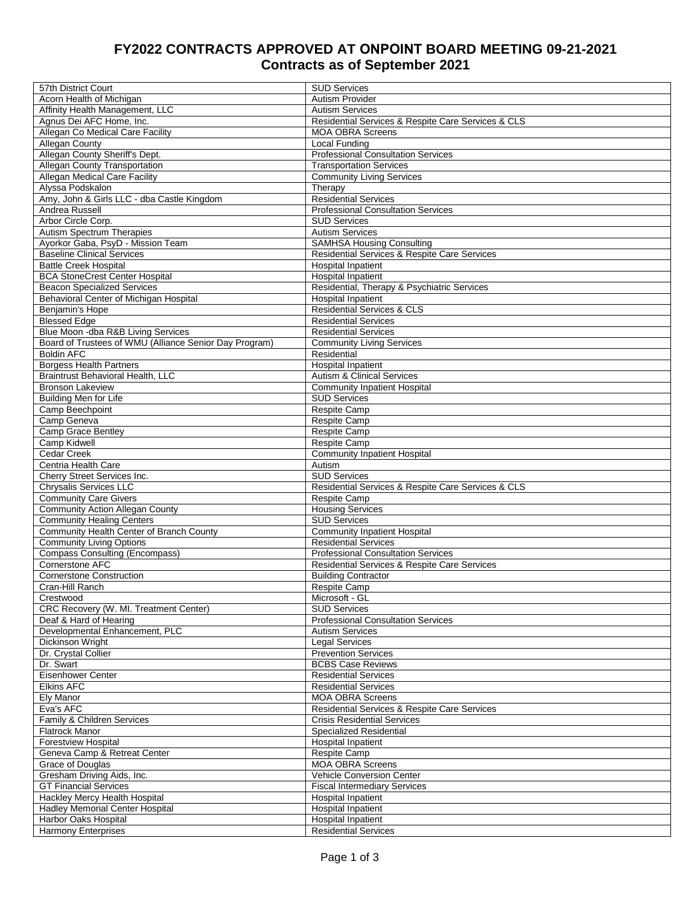## **FY2022 CONTRACTS APPROVED AT ONPOINT BOARD MEETING 09-21-2021 Contracts as of September 2021**

| 57th District Court                                    | <b>SUD Services</b>                                                                |
|--------------------------------------------------------|------------------------------------------------------------------------------------|
| Acorn Health of Michigan                               | Autism Provider                                                                    |
| Affinity Health Management, LLC                        | <b>Autism Services</b>                                                             |
| Agnus Dei AFC Home, Inc.                               | Residential Services & Respite Care Services & CLS                                 |
| Allegan Co Medical Care Facility                       | <b>MOA OBRA Screens</b>                                                            |
| Allegan County                                         | Local Funding                                                                      |
| Allegan County Sheriff's Dept.                         | <b>Professional Consultation Services</b>                                          |
| Allegan County Transportation                          | <b>Transportation Services</b>                                                     |
| <b>Allegan Medical Care Facility</b>                   | <b>Community Living Services</b>                                                   |
| Alyssa Podskalon                                       | Therapy                                                                            |
| Amy, John & Girls LLC - dba Castle Kingdom             | <b>Residential Services</b>                                                        |
| Andrea Russell                                         | <b>Professional Consultation Services</b>                                          |
| Arbor Circle Corp.                                     | <b>SUD Services</b>                                                                |
| <b>Autism Spectrum Therapies</b>                       | <b>Autism Services</b>                                                             |
| Ayorkor Gaba, PsyD - Mission Team                      | <b>SAMHSA Housing Consulting</b>                                                   |
| <b>Baseline Clinical Services</b>                      | Residential Services & Respite Care Services                                       |
| <b>Battle Creek Hospital</b>                           | <b>Hospital Inpatient</b>                                                          |
| <b>BCA StoneCrest Center Hospital</b>                  | <b>Hospital Inpatient</b>                                                          |
| <b>Beacon Specialized Services</b>                     | Residential, Therapy & Psychiatric Services                                        |
| Behavioral Center of Michigan Hospital                 | <b>Hospital Inpatient</b>                                                          |
| Benjamin's Hope                                        | <b>Residential Services &amp; CLS</b>                                              |
| <b>Blessed Edge</b>                                    | <b>Residential Services</b>                                                        |
| Blue Moon - dba R&B Living Services                    | <b>Residential Services</b>                                                        |
| Board of Trustees of WMU (Alliance Senior Day Program) | <b>Community Living Services</b>                                                   |
| <b>Boldin AFC</b>                                      | Residential                                                                        |
| <b>Borgess Health Partners</b>                         | <b>Hospital Inpatient</b>                                                          |
| <b>Braintrust Behavioral Health, LLC</b>               | <b>Autism &amp; Clinical Services</b>                                              |
| <b>Bronson Lakeview</b>                                | <b>Community Inpatient Hospital</b>                                                |
| <b>Building Men for Life</b>                           | <b>SUD Services</b>                                                                |
| Camp Beechpoint                                        | <b>Respite Camp</b>                                                                |
| Camp Geneva                                            | <b>Respite Camp</b>                                                                |
| Camp Grace Bentley                                     | Respite Camp                                                                       |
| Camp Kidwell                                           | Respite Camp                                                                       |
| <b>Cedar Creek</b>                                     | <b>Community Inpatient Hospital</b>                                                |
| Centria Health Care                                    | Autism                                                                             |
| Cherry Street Services Inc.                            | <b>SUD Services</b>                                                                |
| Chrysalis Services LLC                                 | Residential Services & Respite Care Services & CLS                                 |
| <b>Community Care Givers</b>                           | <b>Respite Camp</b>                                                                |
| <b>Community Action Allegan County</b>                 | <b>Housing Services</b>                                                            |
| <b>Community Healing Centers</b>                       | <b>SUD Services</b>                                                                |
| Community Health Center of Branch County               | <b>Community Inpatient Hospital</b>                                                |
| <b>Community Living Options</b>                        | <b>Residential Services</b>                                                        |
| <b>Compass Consulting (Encompass)</b>                  | <b>Professional Consultation Services</b>                                          |
| Cornerstone AFC                                        | Residential Services & Respite Care Services                                       |
| <b>Cornerstone Construction</b>                        | <b>Building Contractor</b>                                                         |
| Cran-Hill Ranch                                        | <b>Respite Camp</b>                                                                |
| Crestwood                                              | Microsoft - GL                                                                     |
| CRC Recovery (W. MI. Treatment Center)                 | <b>SUD Services</b>                                                                |
| Deaf & Hard of Hearing                                 | <b>Professional Consultation Services</b>                                          |
| Developmental Enhancement, PLC                         | <b>Autism Services</b>                                                             |
| Dickinson Wright                                       | <b>Legal Services</b>                                                              |
| Dr. Crystal Collier                                    | <b>Prevention Services</b>                                                         |
| Dr. Swart                                              | <b>BCBS Case Reviews</b>                                                           |
| Eisenhower Center                                      |                                                                                    |
| <b>Elkins AFC</b>                                      | <b>Residential Services</b><br><b>Residential Services</b>                         |
|                                                        | <b>MOA OBRA Screens</b>                                                            |
| Ely Manor<br>Eva's AFC                                 |                                                                                    |
|                                                        | Residential Services & Respite Care Services<br><b>Crisis Residential Services</b> |
| Family & Children Services<br>Flatrock Manor           | <b>Specialized Residential</b>                                                     |
| <b>Forestview Hospital</b>                             | <b>Hospital Inpatient</b>                                                          |
|                                                        |                                                                                    |
| Geneva Camp & Retreat Center                           | Respite Camp                                                                       |
| Grace of Douglas                                       | <b>MOA OBRA Screens</b>                                                            |
| Gresham Driving Aids, Inc.                             | Vehicle Conversion Center                                                          |
| <b>GT Financial Services</b>                           | <b>Fiscal Intermediary Services</b>                                                |
| Hackley Mercy Health Hospital                          | <b>Hospital Inpatient</b>                                                          |
| Hadley Memorial Center Hospital                        | Hospital Inpatient                                                                 |
| Harbor Oaks Hospital                                   | <b>Hospital Inpatient</b>                                                          |
| <b>Harmony Enterprises</b>                             | <b>Residential Services</b>                                                        |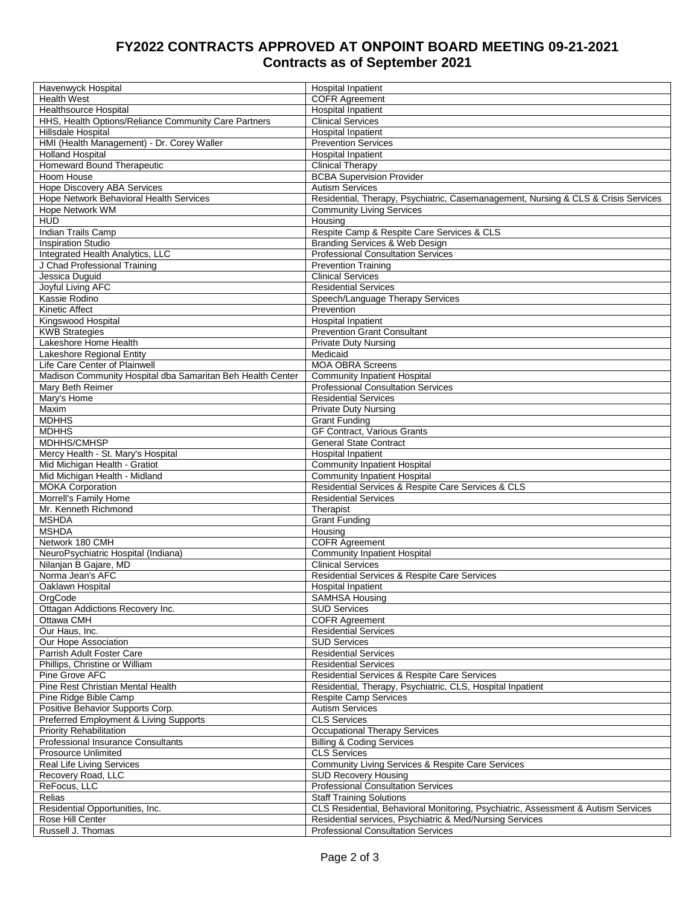## **FY2022 CONTRACTS APPROVED AT ONPOINT BOARD MEETING 09-21-2021 Contracts as of September 2021**

| Havenwyck Hospital                                                             | <b>Hospital Inpatient</b>                                                          |
|--------------------------------------------------------------------------------|------------------------------------------------------------------------------------|
| <b>Health West</b>                                                             | <b>COFR Agreement</b>                                                              |
| <b>Healthsource Hospital</b>                                                   | Hospital Inpatient                                                                 |
| HHS, Health Options/Reliance Community Care Partners                           | <b>Clinical Services</b>                                                           |
| Hillsdale Hospital                                                             | <b>Hospital Inpatient</b>                                                          |
| HMI (Health Management) - Dr. Corey Waller                                     | <b>Prevention Services</b>                                                         |
| <b>Holland Hospital</b>                                                        | <b>Hospital Inpatient</b>                                                          |
| <b>Homeward Bound Therapeutic</b>                                              | <b>Clinical Therapy</b>                                                            |
| Hoom House                                                                     | <b>BCBA Supervision Provider</b>                                                   |
| Hope Discovery ABA Services                                                    | <b>Autism Services</b>                                                             |
| Hope Network Behavioral Health Services                                        | Residential, Therapy, Psychiatric, Casemanagement, Nursing & CLS & Crisis Services |
| Hope Network WM                                                                | <b>Community Living Services</b>                                                   |
| <b>HUD</b>                                                                     | Housing                                                                            |
| Indian Trails Camp                                                             | Respite Camp & Respite Care Services & CLS                                         |
| <b>Inspiration Studio</b>                                                      | Branding Services & Web Design                                                     |
| Integrated Health Analytics, LLC                                               | <b>Professional Consultation Services</b>                                          |
| J Chad Professional Training                                                   | <b>Prevention Training</b>                                                         |
| Jessica Duquid                                                                 | <b>Clinical Services</b>                                                           |
| Joyful Living AFC                                                              | <b>Residential Services</b>                                                        |
| Kassie Rodino                                                                  | Speech/Language Therapy Services                                                   |
| Kinetic Affect                                                                 | Prevention                                                                         |
| Kingswood Hospital                                                             | <b>Hospital Inpatient</b>                                                          |
| <b>KWB Strategies</b>                                                          | <b>Prevention Grant Consultant</b>                                                 |
| Lakeshore Home Health                                                          | <b>Private Duty Nursing</b>                                                        |
| Lakeshore Regional Entity                                                      | Medicaid<br><b>MOA OBRA Screens</b>                                                |
| Life Care Center of Plainwell                                                  |                                                                                    |
| Madison Community Hospital dba Samaritan Beh Health Center<br>Mary Beth Reimer | <b>Community Inpatient Hospital</b><br><b>Professional Consultation Services</b>   |
|                                                                                |                                                                                    |
| Mary's Home<br>Maxim                                                           | <b>Residential Services</b>                                                        |
|                                                                                | <b>Private Duty Nursing</b>                                                        |
| <b>MDHHS</b>                                                                   | <b>Grant Funding</b>                                                               |
| <b>MDHHS</b>                                                                   | <b>GF Contract, Various Grants</b>                                                 |
| MDHHS/CMHSP                                                                    | <b>General State Contract</b>                                                      |
| Mercy Health - St. Mary's Hospital                                             | <b>Hospital Inpatient</b>                                                          |
| Mid Michigan Health - Gratiot<br>Mid Michigan Health - Midland                 | <b>Community Inpatient Hospital</b><br><b>Community Inpatient Hospital</b>         |
| <b>MOKA Corporation</b>                                                        | Residential Services & Respite Care Services & CLS                                 |
| Morrell's Family Home                                                          | <b>Residential Services</b>                                                        |
| Mr. Kenneth Richmond                                                           | Therapist                                                                          |
| <b>MSHDA</b>                                                                   | <b>Grant Funding</b>                                                               |
| <b>MSHDA</b>                                                                   | Housing                                                                            |
| Network 180 CMH                                                                | <b>COFR Agreement</b>                                                              |
| NeuroPsychiatric Hospital (Indiana)                                            | <b>Community Inpatient Hospital</b>                                                |
| Nilanjan B Gajare, MD                                                          | <b>Clinical Services</b>                                                           |
| Norma Jean's AFC                                                               | Residential Services & Respite Care Services                                       |
| Oaklawn Hospital                                                               | <b>Hospital Inpatient</b>                                                          |
| OrgCode                                                                        | <b>SAMHSA Housing</b>                                                              |
| Ottagan Addictions Recovery Inc.                                               | <b>SUD Services</b>                                                                |
| Ottawa CMH                                                                     | <b>COFR Agreement</b>                                                              |
| Our Haus, Inc.                                                                 | <b>Residential Services</b>                                                        |
| Our Hope Association                                                           | <b>SUD Services</b>                                                                |
| Parrish Adult Foster Care                                                      | <b>Residential Services</b>                                                        |
| Phillips, Christine or William                                                 | <b>Residential Services</b>                                                        |
| Pine Grove AFC                                                                 | Residential Services & Respite Care Services                                       |
| Pine Rest Christian Mental Health                                              | Residential, Therapy, Psychiatric, CLS, Hospital Inpatient                         |
| Pine Ridge Bible Camp                                                          | <b>Respite Camp Services</b>                                                       |
| Positive Behavior Supports Corp.                                               | <b>Autism Services</b>                                                             |
| Preferred Employment & Living Supports                                         | <b>CLS Services</b>                                                                |
| <b>Priority Rehabilitation</b>                                                 | <b>Occupational Therapy Services</b>                                               |
| <b>Professional Insurance Consultants</b>                                      | <b>Billing &amp; Coding Services</b>                                               |
| Prosource Unlimited                                                            | <b>CLS Services</b>                                                                |
| Real Life Living Services                                                      | Community Living Services & Respite Care Services                                  |
| Recovery Road, LLC                                                             | <b>SUD Recovery Housing</b>                                                        |
| ReFocus, LLC                                                                   | <b>Professional Consultation Services</b>                                          |
| Relias                                                                         | <b>Staff Training Solutions</b>                                                    |
| Residential Opportunities, Inc.                                                | CLS Residential, Behavioral Monitoring, Psychiatric, Assessment & Autism Services  |
| Rose Hill Center                                                               | Residential services, Psychiatric & Med/Nursing Services                           |
| Russell J. Thomas                                                              | <b>Professional Consultation Services</b>                                          |